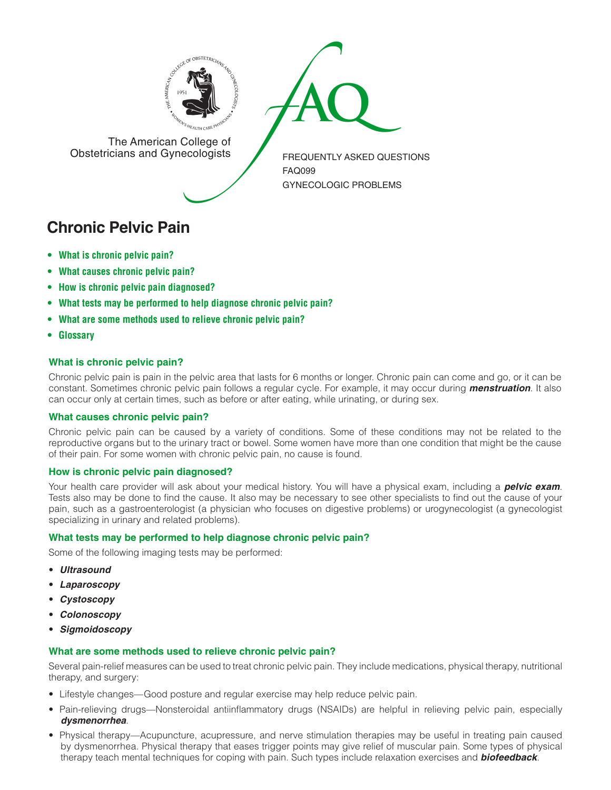

The American College of<br>
Obstetricians and Gynecologists

The American College of<br>Obstetricians and Gynecologists

FREQUENTLY ASKED QUESTIONS FAQ099 GYNECOLOGIC PROBLEMS

# **Chronic Pelvic Pain**

- **[• What](#page-0-0) is chronic pelvic pain?**
- **[• What](#page-0-1) causes chronic pelvic pain?**
- **• How is chronic pelvic pain [diagnosed?](#page-0-2)**
- **• What tests may be [performed](#page-0-3) to help diagnose chronic pelvic pain?**
- **• What are some [methods](#page-0-4) used to relieve chronic pelvic pain?**
- **[• Glossary](#page-1-0)**

## <span id="page-0-0"></span>**What is chronic pelvic pain?**

Chronic pelvic pain is pain in the pelvic area that lasts for 6 months or longer. Chronic pain can come and go, or it can be constant. Sometimes chronic pelvic pain follows a regular cycle. For example, it may occur during *menstruation*. It also can occur only at certain times, such as before or after eating, while urinating, or during sex.

### <span id="page-0-1"></span>**What causes chronic pelvic pain?**

Chronic pelvic pain can be caused by a variety of conditions. Some of these conditions may not be related to the reproductive organs but to the urinary tract or bowel. Some women have more than one condition that might be the cause of their pain. For some women with chronic pelvic pain, no cause is found.

### <span id="page-0-2"></span>**How is chronic pelvic pain diagnosed?**

Your health care provider will ask about your medical history. You will have a physical exam, including a *pelvic exam*. Tests also may be done to find the cause. It also may be necessary to see other specialists to find out the cause of your pain, such as a gastroenterologist (a physician who focuses on digestive problems) or urogynecologist (a gynecologist specializing in urinary and related problems).

### <span id="page-0-3"></span>**What tests may be performed to help diagnose chronic pelvic pain?**

Some of the following imaging tests may be performed:

- *Ultrasound*
- *Laparoscopy*
- *Cystoscopy*
- *Colonoscopy*
- *Sigmoidoscopy*

### <span id="page-0-4"></span>**What are some methods used to relieve chronic pelvic pain?**

Several pain-relief measures can be used to treat chronic pelvic pain. They include medications, physical therapy, nutritional therapy, and surgery:

- Lifestyle changes—Good posture and regular exercise may help reduce pelvic pain.
- Pain-relieving drugs—Nonsteroidal antiinflammatory drugs (NSAIDs) are helpful in relieving pelvic pain, especially *dysmenorrhea*.
- Physical therapy—Acupuncture, acupressure, and nerve stimulation therapies may be useful in treating pain caused by dysmenorrhea. Physical therapy that eases trigger points may give relief of muscular pain. Some types of physical therapy teach mental techniques for coping with pain. Such types include relaxation exercises and *biofeedback*.